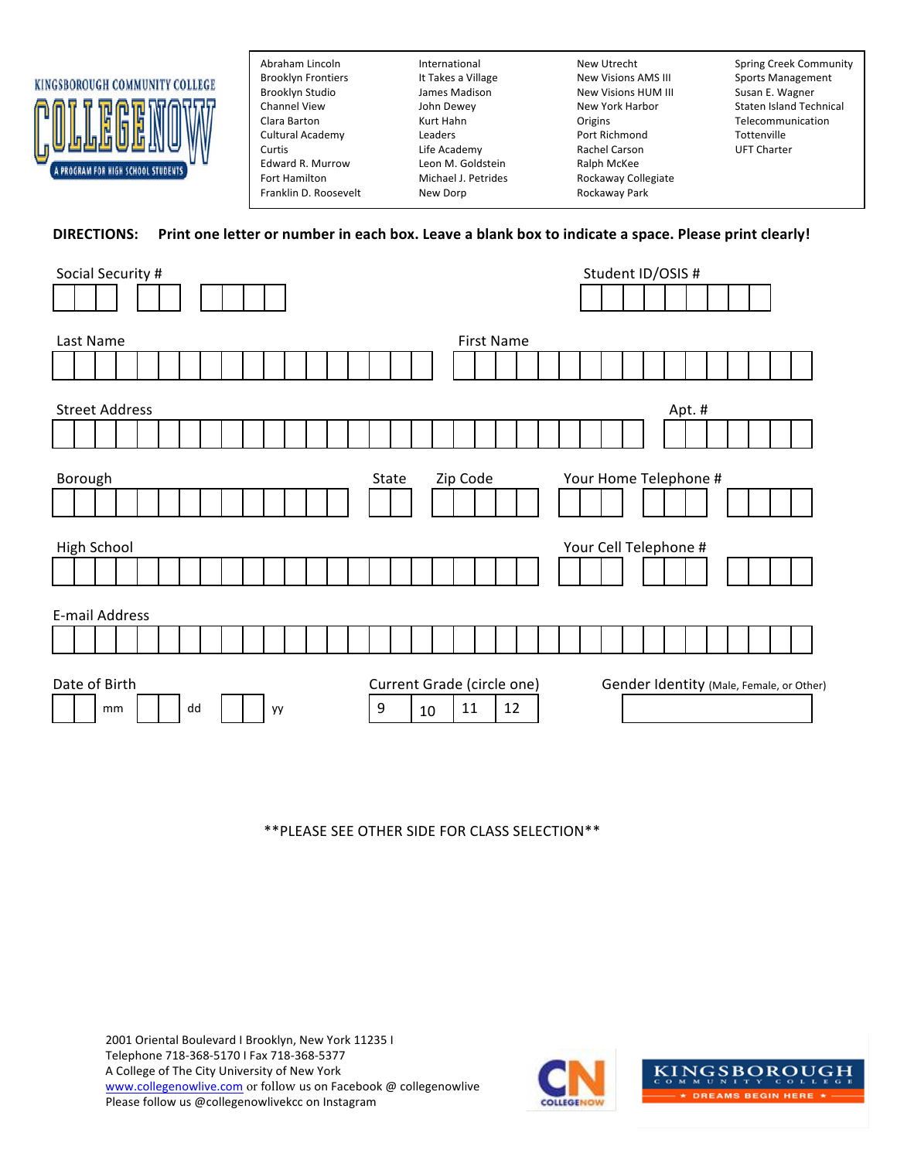

Edward R. Murrow Leon M. Goldstein and Ralph McKee<br>
Fort Hamilton Communic Michael J. Petrides Rockaway Col Franklin D. Roosevelt **New Dorp Rockaway Park** 

Brooklyn Frontiers The It Takes a Village New Visions AMS III Sports Management Brooklyn Studio James Madison New Visions HUM III Susan E. Wagner Channel View John Dewey New York Harbor Clara Barton **Clara Barton** Kurt Hahn **Clara Clara Clara Barton** Telecommunication Cultural Academy **Leaders Leaders** Port Richmond Tottenville Curtis **Curtis** Curtis Life Academy **Rachel Carson** UFT Charter Fort Hamilton **Michael J. Petrides** Rockaway Collegiate

Abraham Lincoln **International** International New Utrecht Spring Creek Community John Dewey **New York Harbor** Staten Island Technical

## **DIRECTIONS:** Print one letter or number in each box. Leave a blank box to indicate a space. Please print clearly!

| Social Security #     | Student ID/OSIS #                                                      |  |  |
|-----------------------|------------------------------------------------------------------------|--|--|
|                       |                                                                        |  |  |
|                       |                                                                        |  |  |
| Last Name             | <b>First Name</b>                                                      |  |  |
|                       |                                                                        |  |  |
|                       |                                                                        |  |  |
| <b>Street Address</b> | Apt. #                                                                 |  |  |
|                       |                                                                        |  |  |
|                       |                                                                        |  |  |
| Borough               | Zip Code<br>Your Home Telephone #<br>State                             |  |  |
|                       |                                                                        |  |  |
|                       |                                                                        |  |  |
| High School           | Your Cell Telephone #                                                  |  |  |
|                       |                                                                        |  |  |
|                       |                                                                        |  |  |
| E-mail Address        |                                                                        |  |  |
|                       |                                                                        |  |  |
|                       |                                                                        |  |  |
| Date of Birth         | Current Grade (circle one)<br>Gender Identity (Male, Female, or Other) |  |  |
| dd<br>mm<br>уy        | 9<br>12<br>11<br>10                                                    |  |  |

\*\*PLEASE SEE OTHER SIDE FOR CLASS SELECTION\*\*